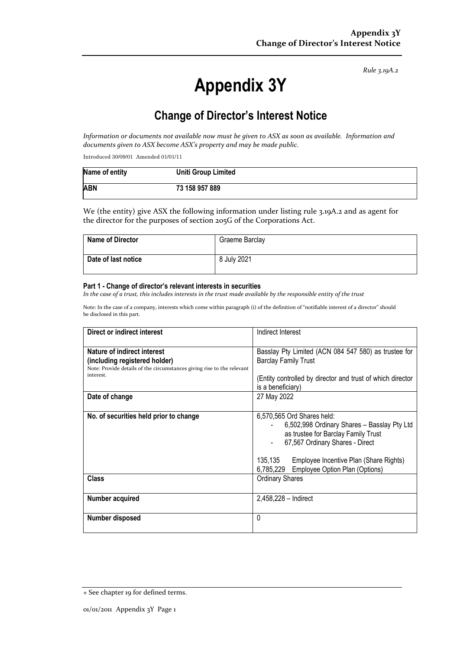*Rule 3.19A.2*

# **Appendix 3Y**

# **Change of Director's Interest Notice**

*Information or documents not available now must be given to ASX as soon as available. Information and documents given to ASX become ASX's property and may be made public.*

Introduced 30/09/01 Amended 01/01/11

| Name of entity | <b>Uniti Group Limited</b> |
|----------------|----------------------------|
| <b>ABN</b>     | 73 158 957 889             |

We (the entity) give ASX the following information under listing rule 3.19A.2 and as agent for the director for the purposes of section 205G of the Corporations Act.

| <b>Name of Director</b> | Graeme Barclay |
|-------------------------|----------------|
| Date of last notice     | 8 July 2021    |

#### **Part 1 - Change of director's relevant interests in securities**

*In the case of a trust, this includes interests in the trust made available by the responsible entity of the trust*

Note: In the case of a company, interests which come within paragraph (i) of the definition of "notifiable interest of a director" should be disclosed in this part.

| Direct or indirect interest                                                                                                                         | Indirect Interest                                                                                                                                                                                                                                    |  |
|-----------------------------------------------------------------------------------------------------------------------------------------------------|------------------------------------------------------------------------------------------------------------------------------------------------------------------------------------------------------------------------------------------------------|--|
| Nature of indirect interest<br>(including registered holder)<br>Note: Provide details of the circumstances giving rise to the relevant<br>interest. | Basslay Pty Limited (ACN 084 547 580) as trustee for<br><b>Barclay Family Trust</b><br>(Entity controlled by director and trust of which director<br>is a beneficiary)                                                                               |  |
| Date of change                                                                                                                                      | 27 May 2022                                                                                                                                                                                                                                          |  |
| No. of securities held prior to change                                                                                                              | 6,570,565 Ord Shares held:<br>6,502,998 Ordinary Shares - Basslay Pty Ltd<br>as trustee for Barclay Family Trust<br>67,567 Ordinary Shares - Direct<br>135.135<br>Employee Incentive Plan (Share Rights)<br>6,785,229 Employee Option Plan (Options) |  |
| <b>Class</b>                                                                                                                                        | <b>Ordinary Shares</b>                                                                                                                                                                                                                               |  |
| Number acquired                                                                                                                                     | $2,458,228 - Indirect$                                                                                                                                                                                                                               |  |
| Number disposed                                                                                                                                     | 0                                                                                                                                                                                                                                                    |  |

<sup>+</sup> See chapter 19 for defined terms.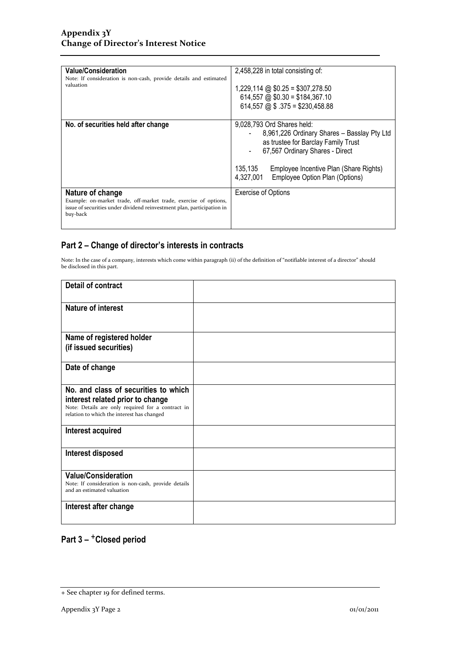| <b>Value/Consideration</b><br>Note: If consideration is non-cash, provide details and estimated<br>valuation                                                               | 2,458,228 in total consisting of:<br>$1,229,114$ @ \$0.25 = \$307,278.50<br>$614,557$ @ \$0.30 = \$184,367.10<br>$614,557$ @ \$ .375 = \$230,458.88                                                                                                     |
|----------------------------------------------------------------------------------------------------------------------------------------------------------------------------|---------------------------------------------------------------------------------------------------------------------------------------------------------------------------------------------------------------------------------------------------------|
| No. of securities held after change                                                                                                                                        | 9,028,793 Ord Shares held:<br>8,961,226 Ordinary Shares - Basslay Pty Ltd<br>as trustee for Barclay Family Trust<br>67,567 Ordinary Shares - Direct<br>135,135<br>Employee Incentive Plan (Share Rights)<br>4,327,001<br>Employee Option Plan (Options) |
| Nature of change<br>Example: on-market trade, off-market trade, exercise of options,<br>issue of securities under dividend reinvestment plan, participation in<br>buy-back | <b>Exercise of Options</b>                                                                                                                                                                                                                              |

### **Part 2 – Change of director's interests in contracts**

Note: In the case of a company, interests which come within paragraph (ii) of the definition of "notifiable interest of a director" should be disclosed in this part.

| <b>Detail of contract</b>                                                                       |  |
|-------------------------------------------------------------------------------------------------|--|
| Nature of interest                                                                              |  |
| Name of registered holder                                                                       |  |
| (if issued securities)                                                                          |  |
| Date of change                                                                                  |  |
| No. and class of securities to which                                                            |  |
| interest related prior to change                                                                |  |
| Note: Details are only required for a contract in<br>relation to which the interest has changed |  |
| Interest acquired                                                                               |  |
| Interest disposed                                                                               |  |
| <b>Value/Consideration</b>                                                                      |  |
| Note: If consideration is non-cash, provide details<br>and an estimated valuation               |  |
| Interest after change                                                                           |  |
|                                                                                                 |  |

## **Part 3 –** +**Closed period**

<sup>+</sup> See chapter 19 for defined terms.